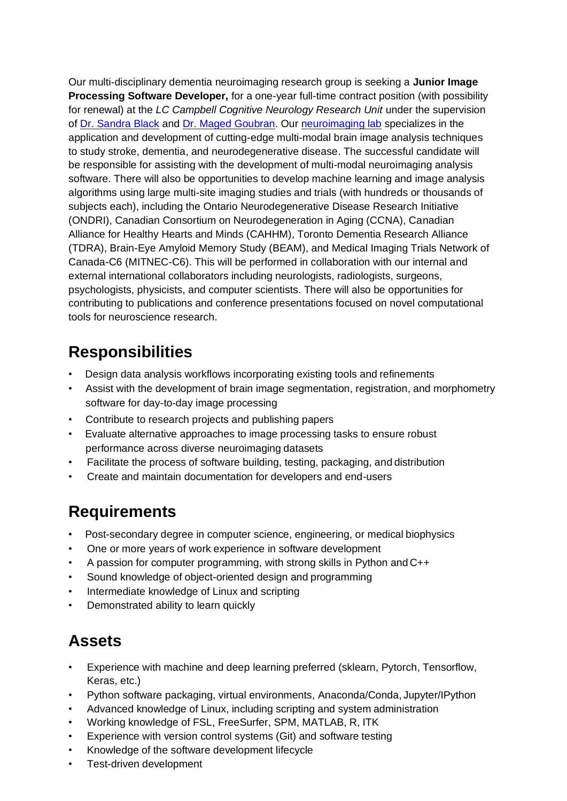Our multi-disciplinary dementia neuroimaging research group is seeking a **Junior Image Processing Software Developer,** for a one-year full-time contract position (with possibility for renewal) at the *LC Campbell Cognitive Neurology Research Unit* under the supervision of [Dr. Sandra Black](https://sunnybrook.ca/research/team/member.asp?t=10&m=28&page=1212) and [Dr. Maged Goubran.](https://sunnybrook.ca/research/team/member.asp?t=11&m=894&page=528) Our [neuroimaging lab](brainlab.ca) specializes in the application and development of cutting-edge multi-modal brain image analysis techniques to study stroke, dementia, and neurodegenerative disease. The successful candidate will be responsible for assisting with the development of multi-modal neuroimaging analysis software. There will also be opportunities to develop machine learning and image analysis algorithms using large multi-site imaging studies and trials (with hundreds or thousands of subjects each), including the Ontario Neurodegenerative Disease Research Initiative (ONDRI), Canadian Consortium on Neurodegeneration in Aging (CCNA), Canadian Alliance for Healthy Hearts and Minds (CAHHM), Toronto Dementia Research Alliance (TDRA), Brain-Eye Amyloid Memory Study (BEAM), and Medical Imaging Trials Network of Canada-C6 (MITNEC-C6). This will be performed in collaboration with our internal and external international collaborators including neurologists, radiologists, surgeons, psychologists, physicists, and computer scientists. There will also be opportunities for contributing to publications and conference presentations focused on novel computational tools for neuroscience research.

# **Responsibilities**

- Design data analysis workflows incorporating existing tools and refinements
- Assist with the development of brain image segmentation, registration, and morphometry software for day-to-day image processing
- Contribute to research projects and publishing papers
- Evaluate alternative approaches to image processing tasks to ensure robust performance across diverse neuroimaging datasets
- Facilitate the process of software building, testing, packaging, and distribution
- Create and maintain documentation for developers and end-users

### **Requirements**

- Post-secondary degree in computer science, engineering, or medical biophysics
- One or more years of work experience in software development
- A passion for computer programming, with strong skills in Python and C++
- Sound knowledge of object-oriented design and programming
- Intermediate knowledge of Linux and scripting
- Demonstrated ability to learn quickly

### **Assets**

- Experience with machine and deep learning preferred (sklearn, Pytorch, Tensorflow, Keras, etc.)
- Python software packaging, virtual environments, Anaconda/Conda, Jupyter/IPython
- Advanced knowledge of Linux, including scripting and system administration
- Working knowledge of FSL, FreeSurfer, SPM, MATLAB, R, ITK
- Experience with version control systems (Git) and software testing
- Knowledge of the software development lifecycle
- Test-driven development